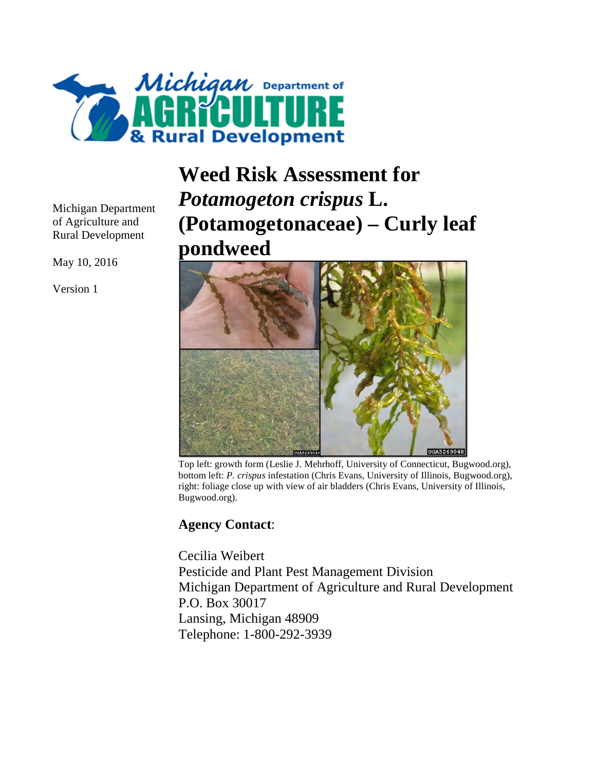

**Weed Risk Assessment for**  *Potamogeton crispus* **L. (Potamogetonaceae) – Curly leaf pondweed**



Top left: growth form (Leslie J. Mehrhoff, University of Connecticut, Bugwood.org), bottom left: *P. crispus* infestation (Chris Evans, University of Illinois, Bugwood.org), right: foliage close up with view of air bladders (Chris Evans, University of Illinois, Bugwood.org).

## **Agency Contact**:

Cecilia Weibert Pesticide and Plant Pest Management Division Michigan Department of Agriculture and Rural Development P.O. Box 30017 Lansing, Michigan 48909 Telephone: 1-800-292-3939

Michigan Department of Agriculture and Rural Development

May 10, 2016

Version 1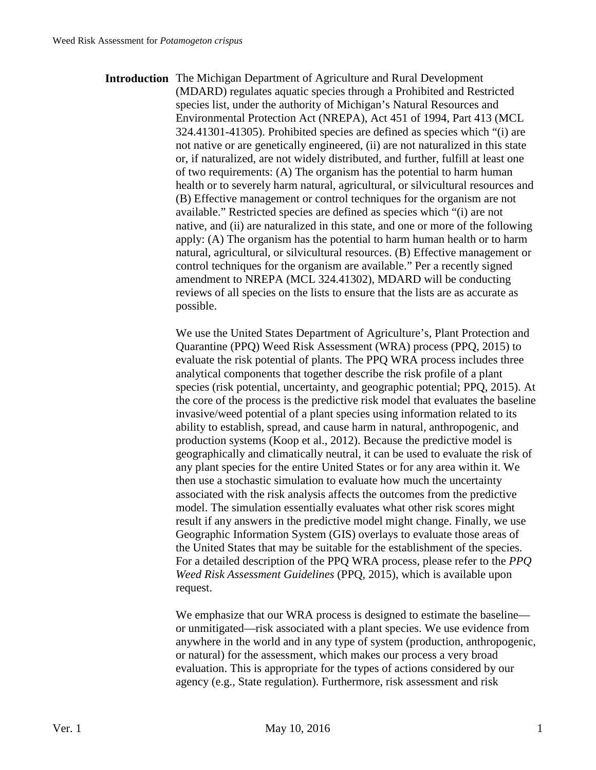**Introduction** The Michigan Department of Agriculture and Rural Development (MDARD) regulates aquatic species through a Prohibited and Restricted species list, under the authority of Michigan's Natural Resources and Environmental Protection Act (NREPA), Act 451 of 1994, Part 413 (MCL 324.41301-41305). Prohibited species are defined as species which "(i) are not native or are genetically engineered, (ii) are not naturalized in this state or, if naturalized, are not widely distributed, and further, fulfill at least one of two requirements: (A) The organism has the potential to harm human health or to severely harm natural, agricultural, or silvicultural resources and (B) Effective management or control techniques for the organism are not available." Restricted species are defined as species which "(i) are not native, and (ii) are naturalized in this state, and one or more of the following apply: (A) The organism has the potential to harm human health or to harm natural, agricultural, or silvicultural resources. (B) Effective management or control techniques for the organism are available." Per a recently signed amendment to NREPA (MCL 324.41302), MDARD will be conducting reviews of all species on the lists to ensure that the lists are as accurate as possible.

> We use the United States Department of Agriculture's, Plant Protection and Quarantine (PPQ) Weed Risk Assessment (WRA) process (PPQ, 2015) to evaluate the risk potential of plants. The PPQ WRA process includes three analytical components that together describe the risk profile of a plant species (risk potential, uncertainty, and geographic potential; PPQ, 2015). At the core of the process is the predictive risk model that evaluates the baseline invasive/weed potential of a plant species using information related to its ability to establish, spread, and cause harm in natural, anthropogenic, and production systems (Koop et al., 2012). Because the predictive model is geographically and climatically neutral, it can be used to evaluate the risk of any plant species for the entire United States or for any area within it. We then use a stochastic simulation to evaluate how much the uncertainty associated with the risk analysis affects the outcomes from the predictive model. The simulation essentially evaluates what other risk scores might result if any answers in the predictive model might change. Finally, we use Geographic Information System (GIS) overlays to evaluate those areas of the United States that may be suitable for the establishment of the species. For a detailed description of the PPQ WRA process, please refer to the *PPQ Weed Risk Assessment Guidelines* (PPQ, 2015), which is available upon request.

> We emphasize that our WRA process is designed to estimate the baseline or unmitigated—risk associated with a plant species. We use evidence from anywhere in the world and in any type of system (production, anthropogenic, or natural) for the assessment, which makes our process a very broad evaluation. This is appropriate for the types of actions considered by our agency (e.g., State regulation). Furthermore, risk assessment and risk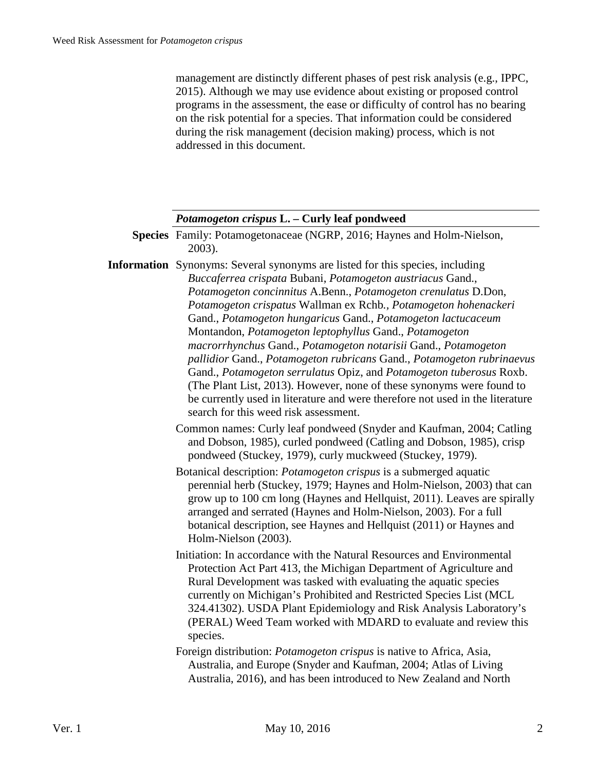management are distinctly different phases of pest risk analysis (e.g., IPPC, 2015). Although we may use evidence about existing or proposed control programs in the assessment, the ease or difficulty of control has no bearing on the risk potential for a species. That information could be considered during the risk management (decision making) process, which is not addressed in this document.

## *Potamogeton crispus* **L. – Curly leaf pondweed**

- **Species** Family: Potamogetonaceae (NGRP, 2016; Haynes and Holm-Nielson, 2003).
- **Information** Synonyms: Several synonyms are listed for this species, including *Buccaferrea crispata* Bubani, *Potamogeton austriacus* Gand., *Potamogeton concinnitus* A.Benn., *Potamogeton crenulatus* D.Don, *Potamogeton crispatus* Wallman ex Rchb*., Potamogeton hohenackeri* Gand., *Potamogeton hungaricus* Gand., *Potamogeton lactucaceum* Montandon, *Potamogeton leptophyllus* Gand., *Potamogeton macrorrhynchus* Gand., *Potamogeton notarisii* Gand., *Potamogeton pallidior* Gand., *Potamogeton rubricans* Gand., *Potamogeton rubrinaevus* Gand., *Potamogeton serrulatus* Opiz, and *Potamogeton tuberosus* Roxb. (The Plant List, 2013). However, none of these synonyms were found to be currently used in literature and were therefore not used in the literature search for this weed risk assessment.
	- Common names: Curly leaf pondweed (Snyder and Kaufman, 2004; Catling and Dobson, 1985), curled pondweed (Catling and Dobson, 1985), crisp pondweed (Stuckey, 1979), curly muckweed (Stuckey, 1979).
	- Botanical description: *Potamogeton crispus* is a submerged aquatic perennial herb (Stuckey, 1979; Haynes and Holm-Nielson, 2003) that can grow up to 100 cm long (Haynes and Hellquist, 2011). Leaves are spirally arranged and serrated (Haynes and Holm-Nielson, 2003). For a full botanical description, see Haynes and Hellquist (2011) or Haynes and Holm-Nielson (2003).
	- Initiation: In accordance with the Natural Resources and Environmental Protection Act Part 413, the Michigan Department of Agriculture and Rural Development was tasked with evaluating the aquatic species currently on Michigan's Prohibited and Restricted Species List (MCL 324.41302). USDA Plant Epidemiology and Risk Analysis Laboratory's (PERAL) Weed Team worked with MDARD to evaluate and review this species.
	- Foreign distribution: *Potamogeton crispus* is native to Africa, Asia, Australia, and Europe (Snyder and Kaufman, 2004; Atlas of Living Australia, 2016), and has been introduced to New Zealand and North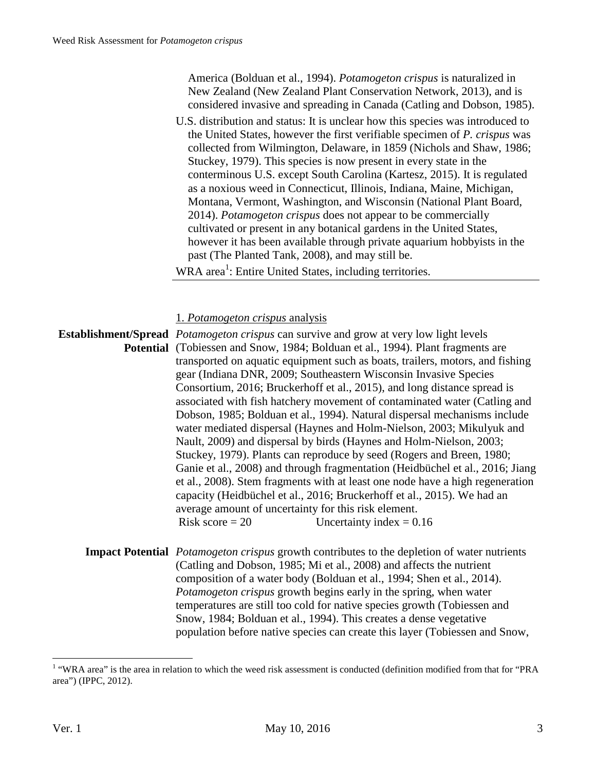| America (Bolduan et al., 1994). Potamogeton crispus is naturalized in<br>New Zealand (New Zealand Plant Conservation Network, 2013), and is<br>considered invasive and spreading in Canada (Catling and Dobson, 1985).<br>U.S. distribution and status: It is unclear how this species was introduced to<br>the United States, however the first verifiable specimen of P. crispus was<br>collected from Wilmington, Delaware, in 1859 (Nichols and Shaw, 1986;<br>Stuckey, 1979). This species is now present in every state in the<br>conterminous U.S. except South Carolina (Kartesz, 2015). It is regulated<br>as a noxious weed in Connecticut, Illinois, Indiana, Maine, Michigan,<br>Montana, Vermont, Washington, and Wisconsin (National Plant Board,<br>2014). Potamogeton crispus does not appear to be commercially<br>cultivated or present in any botanical gardens in the United States,<br>however it has been available through private aquarium hobbyists in the<br>past (The Planted Tank, 2008), and may still be.<br>WRA area <sup>1</sup> : Entire United States, including territories.                                                            |
|----------------------------------------------------------------------------------------------------------------------------------------------------------------------------------------------------------------------------------------------------------------------------------------------------------------------------------------------------------------------------------------------------------------------------------------------------------------------------------------------------------------------------------------------------------------------------------------------------------------------------------------------------------------------------------------------------------------------------------------------------------------------------------------------------------------------------------------------------------------------------------------------------------------------------------------------------------------------------------------------------------------------------------------------------------------------------------------------------------------------------------------------------------------------------|
| 1. Potamogeton crispus analysis                                                                                                                                                                                                                                                                                                                                                                                                                                                                                                                                                                                                                                                                                                                                                                                                                                                                                                                                                                                                                                                                                                                                            |
| <b>Establishment/Spread</b> <i>Potamogeton crispus</i> can survive and grow at very low light levels<br><b>Potential</b> (Tobiessen and Snow, 1984; Bolduan et al., 1994). Plant fragments are<br>transported on aquatic equipment such as boats, trailers, motors, and fishing<br>gear (Indiana DNR, 2009; Southeastern Wisconsin Invasive Species<br>Consortium, 2016; Bruckerhoff et al., 2015), and long distance spread is<br>associated with fish hatchery movement of contaminated water (Catling and<br>Dobson, 1985; Bolduan et al., 1994). Natural dispersal mechanisms include<br>water mediated dispersal (Haynes and Holm-Nielson, 2003; Mikulyuk and<br>Nault, 2009) and dispersal by birds (Haynes and Holm-Nielson, 2003;<br>Stuckey, 1979). Plants can reproduce by seed (Rogers and Breen, 1980;<br>Ganie et al., 2008) and through fragmentation (Heidbüchel et al., 2016; Jiang<br>et al., 2008). Stem fragments with at least one node have a high regeneration<br>capacity (Heidbüchel et al., 2016; Bruckerhoff et al., 2015). We had an<br>average amount of uncertainty for this risk element.<br>Risk score = $20$<br>Uncertainty index = $0.16$ |
| <b>Impact Potential</b> <i>Potamogeton crispus</i> growth contributes to the depletion of water nutrients<br>(Catling and Dobson, 1985; Mi et al., 2008) and affects the nutrient<br>composition of a water body (Bolduan et al., 1994; Shen et al., 2014).<br>Potamogeton crispus growth begins early in the spring, when water<br>temperatures are still too cold for native species growth (Tobiessen and                                                                                                                                                                                                                                                                                                                                                                                                                                                                                                                                                                                                                                                                                                                                                               |

Snow, 1984; Bolduan et al., 1994). This creates a dense vegetative

population before native species can create this layer (Tobiessen and Snow,

The area is the area in relation to which the weed risk assessment is conducted (definition modified from that for "PRA") area") (IPPC, 2012).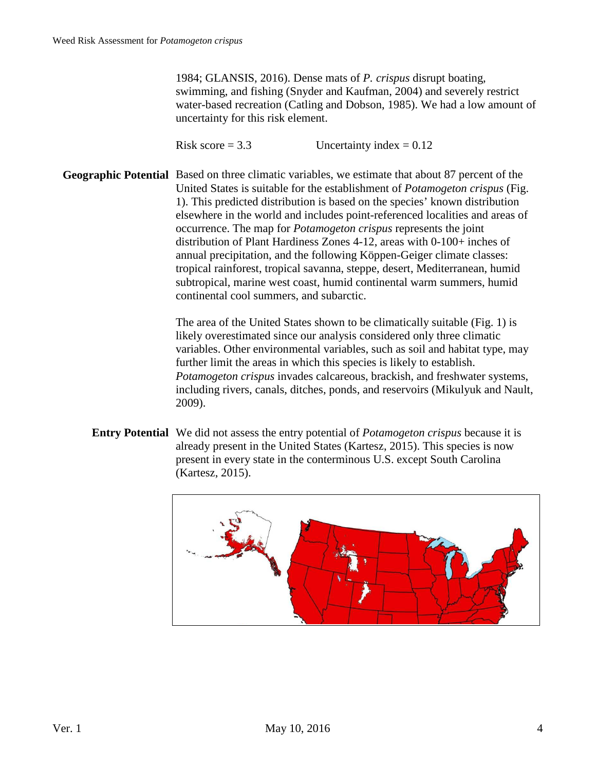1984; GLANSIS, 2016). Dense mats of *P. crispus* disrupt boating, swimming, and fishing (Snyder and Kaufman, 2004) and severely restrict water-based recreation (Catling and Dobson, 1985). We had a low amount of uncertainty for this risk element.

Risk score  $= 3.3$  Uncertainty index  $= 0.12$ 

**Geographic Potential** Based on three climatic variables, we estimate that about 87 percent of the United States is suitable for the establishment of *Potamogeton crispus* (Fig. 1). This predicted distribution is based on the species' known distribution elsewhere in the world and includes point-referenced localities and areas of occurrence. The map for *Potamogeton crispus* represents the joint distribution of Plant Hardiness Zones 4-12, areas with 0-100+ inches of annual precipitation, and the following Köppen-Geiger climate classes: tropical rainforest, tropical savanna, steppe, desert, Mediterranean, humid subtropical, marine west coast, humid continental warm summers, humid continental cool summers, and subarctic.

> The area of the United States shown to be climatically suitable (Fig. 1) is likely overestimated since our analysis considered only three climatic variables. Other environmental variables, such as soil and habitat type, may further limit the areas in which this species is likely to establish. *Potamogeton crispus* invades calcareous, brackish, and freshwater systems, including rivers, canals, ditches, ponds, and reservoirs (Mikulyuk and Nault, 2009).

**Entry Potential** We did not assess the entry potential of *Potamogeton crispus* because it is already present in the United States (Kartesz, 2015). This species is now present in every state in the conterminous U.S. except South Carolina (Kartesz, 2015).

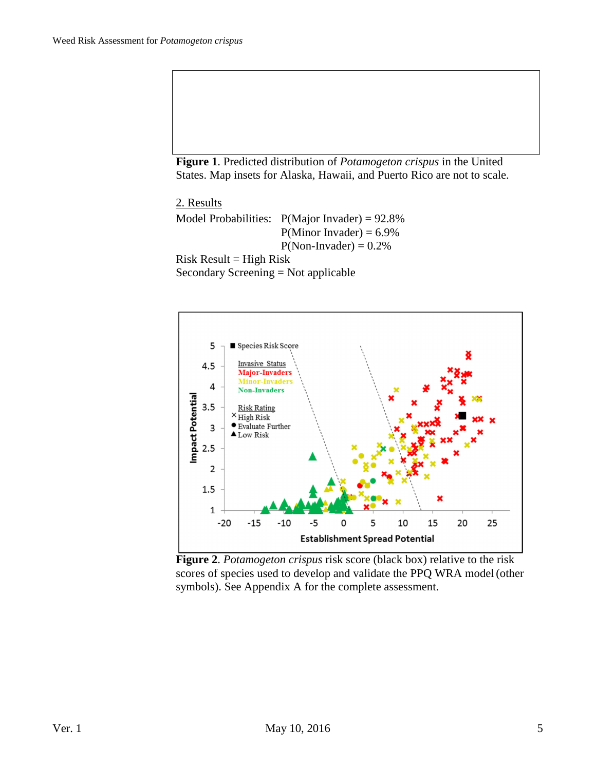**Figure 1**. Predicted distribution of *Potamogeton crispus* in the United States. Map insets for Alaska, Hawaii, and Puerto Rico are not to scale.

 2. Results Model Probabilities:  $P(Major Invader) = 92.8%$  $P(Minor Invader) = 6.9%$  $P(Non- Invader) = 0.2\%$  $Risk Result = High Risk$ Secondary Screening = Not applicable



**Figure 2**. *Potamogeton crispus* risk score (black box) relative to the risk scores of species used to develop and validate the PPQ WRA model(other symbols). See Appendix A for the complete assessment.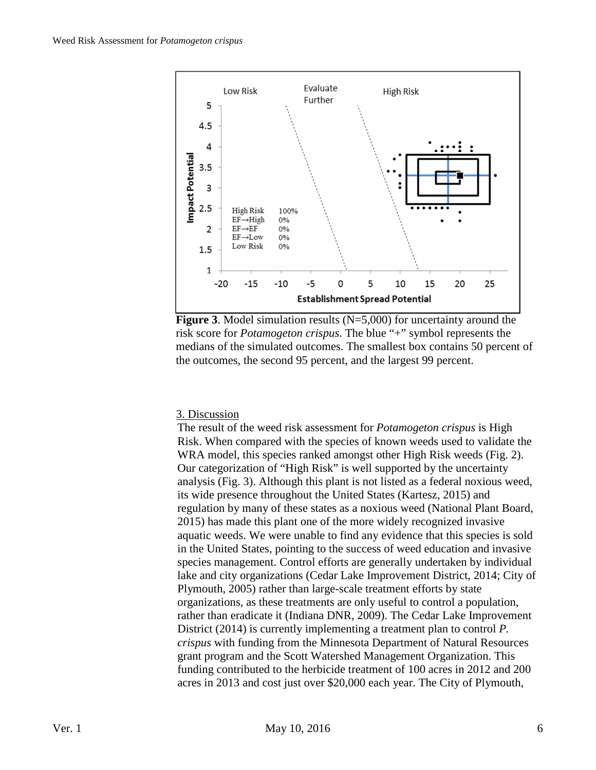



## 3. Discussion

The result of the weed risk assessment for *Potamogeton crispus* is High Risk. When compared with the species of known weeds used to validate the WRA model, this species ranked amongst other High Risk weeds (Fig. 2). Our categorization of "High Risk" is well supported by the uncertainty analysis (Fig. 3). Although this plant is not listed as a federal noxious weed, its wide presence throughout the United States (Kartesz, 2015) and regulation by many of these states as a noxious weed (National Plant Board, 2015) has made this plant one of the more widely recognized invasive aquatic weeds. We were unable to find any evidence that this species is sold in the United States, pointing to the success of weed education and invasive species management. Control efforts are generally undertaken by individual lake and city organizations (Cedar Lake Improvement District, 2014; City of Plymouth, 2005) rather than large-scale treatment efforts by state organizations, as these treatments are only useful to control a population, rather than eradicate it (Indiana DNR, 2009). The Cedar Lake Improvement District (2014) is currently implementing a treatment plan to control *P. crispus* with funding from the Minnesota Department of Natural Resources grant program and the Scott Watershed Management Organization. This funding contributed to the herbicide treatment of 100 acres in 2012 and 200 acres in 2013 and cost just over \$20,000 each year. The City of Plymouth,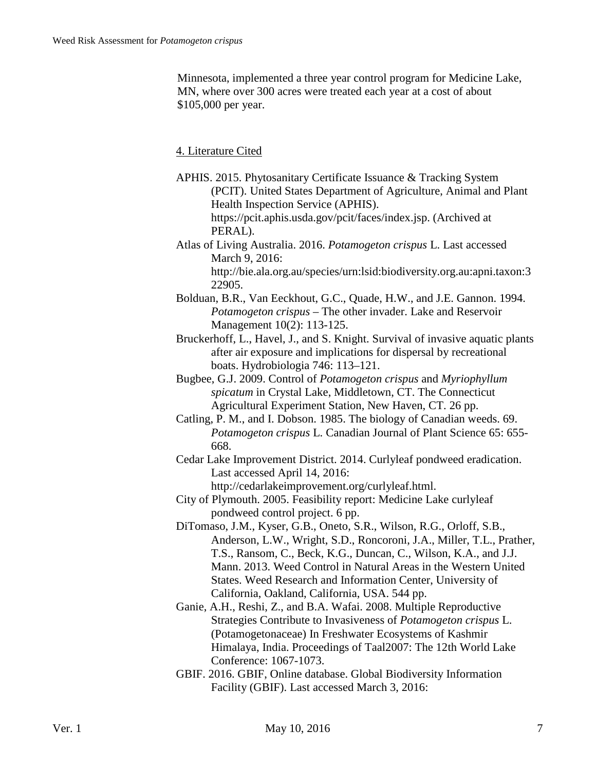Minnesota, implemented a three year control program for Medicine Lake, MN, where over 300 acres were treated each year at a cost of about \$105,000 per year.

4. Literature Cited

- APHIS. 2015. Phytosanitary Certificate Issuance & Tracking System (PCIT). United States Department of Agriculture, Animal and Plant Health Inspection Service (APHIS). https://pcit.aphis.usda.gov/pcit/faces/index.jsp. (Archived at
	- PERAL).
- Atlas of Living Australia. 2016. *Potamogeton crispus* L. Last accessed March 9, 2016: http://bie.ala.org.au/species/urn:lsid:biodiversity.org.au:apni.taxon:3 22905.
- Bolduan, B.R., Van Eeckhout, G.C., Quade, H.W., and J.E. Gannon. 1994. *Potamogeton crispus* – The other invader. Lake and Reservoir Management 10(2): 113-125.
- Bruckerhoff, L., Havel, J., and S. Knight. Survival of invasive aquatic plants after air exposure and implications for dispersal by recreational boats. Hydrobiologia 746: 113–121.
- Bugbee, G.J. 2009. Control of *Potamogeton crispus* and *Myriophyllum spicatum* in Crystal Lake, Middletown, CT. The Connecticut Agricultural Experiment Station, New Haven, CT. 26 pp.
- Catling, P. M., and I. Dobson. 1985. The biology of Canadian weeds. 69. *Potamogeton crispus* L. Canadian Journal of Plant Science 65: 655- 668.
- Cedar Lake Improvement District. 2014. Curlyleaf pondweed eradication. Last accessed April 14, 2016: http://cedarlakeimprovement.org/curlyleaf.html.
- City of Plymouth. 2005. Feasibility report: Medicine Lake curlyleaf pondweed control project. 6 pp.
- DiTomaso, J.M., Kyser, G.B., Oneto, S.R., Wilson, R.G., Orloff, S.B., Anderson, L.W., Wright, S.D., Roncoroni, J.A., Miller, T.L., Prather, T.S., Ransom, C., Beck, K.G., Duncan, C., Wilson, K.A., and J.J. Mann. 2013. Weed Control in Natural Areas in the Western United States. Weed Research and Information Center, University of California, Oakland, California, USA. 544 pp.
- Ganie, A.H., Reshi, Z., and B.A. Wafai. 2008. Multiple Reproductive Strategies Contribute to Invasiveness of *Potamogeton crispus* L. (Potamogetonaceae) In Freshwater Ecosystems of Kashmir Himalaya, India. Proceedings of Taal2007: The 12th World Lake Conference: 1067-1073.
- GBIF. 2016. GBIF, Online database. Global Biodiversity Information Facility (GBIF). Last accessed March 3, 2016: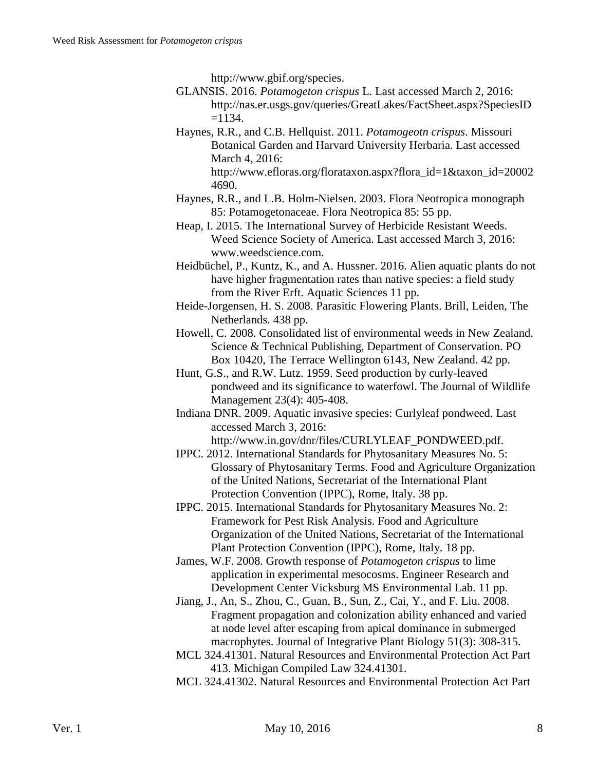http://www.gbif.org/species.

- GLANSIS. 2016. *Potamogeton crispus* L. Last accessed March 2, 2016: http://nas.er.usgs.gov/queries/GreatLakes/FactSheet.aspx?SpeciesID  $=1134.$
- Haynes, R.R., and C.B. Hellquist. 2011. *Potamogeotn crispus*. Missouri Botanical Garden and Harvard University Herbaria. Last accessed March 4, 2016:

- Haynes, R.R., and L.B. Holm-Nielsen. 2003. Flora Neotropica monograph 85: Potamogetonaceae. Flora Neotropica 85: 55 pp.
- Heap, I. 2015. The International Survey of Herbicide Resistant Weeds. Weed Science Society of America. Last accessed March 3, 2016: www.weedscience.com.
- Heidbüchel, P., Kuntz, K., and A. Hussner. 2016. Alien aquatic plants do not have higher fragmentation rates than native species: a field study from the River Erft. Aquatic Sciences 11 pp.
- Heide-Jorgensen, H. S. 2008. Parasitic Flowering Plants. Brill, Leiden, The Netherlands. 438 pp.
- Howell, C. 2008. Consolidated list of environmental weeds in New Zealand. Science & Technical Publishing, Department of Conservation. PO Box 10420, The Terrace Wellington 6143, New Zealand. 42 pp.
- Hunt, G.S., and R.W. Lutz. 1959. Seed production by curly-leaved pondweed and its significance to waterfowl. The Journal of Wildlife Management 23(4): 405-408.
- Indiana DNR. 2009. Aquatic invasive species: Curlyleaf pondweed. Last accessed March 3, 2016:
	- http://www.in.gov/dnr/files/CURLYLEAF\_PONDWEED.pdf.
- IPPC. 2012. International Standards for Phytosanitary Measures No. 5: Glossary of Phytosanitary Terms. Food and Agriculture Organization of the United Nations, Secretariat of the International Plant Protection Convention (IPPC), Rome, Italy. 38 pp.
- IPPC. 2015. International Standards for Phytosanitary Measures No. 2: Framework for Pest Risk Analysis. Food and Agriculture Organization of the United Nations, Secretariat of the International Plant Protection Convention (IPPC), Rome, Italy. 18 pp.
- James, W.F. 2008. Growth response of *Potamogeton crispus* to lime application in experimental mesocosms. Engineer Research and Development Center Vicksburg MS Environmental Lab. 11 pp.
- Jiang, J., An, S., Zhou, C., Guan, B., Sun, Z., Cai, Y., and F. Liu. 2008. Fragment propagation and colonization ability enhanced and varied at node level after escaping from apical dominance in submerged macrophytes. Journal of Integrative Plant Biology 51(3): 308-315.
- MCL 324.41301. Natural Resources and Environmental Protection Act Part 413. Michigan Compiled Law 324.41301.
- MCL 324.41302. Natural Resources and Environmental Protection Act Part

http://www.efloras.org/florataxon.aspx?flora\_id=1&taxon\_id=20002 4690.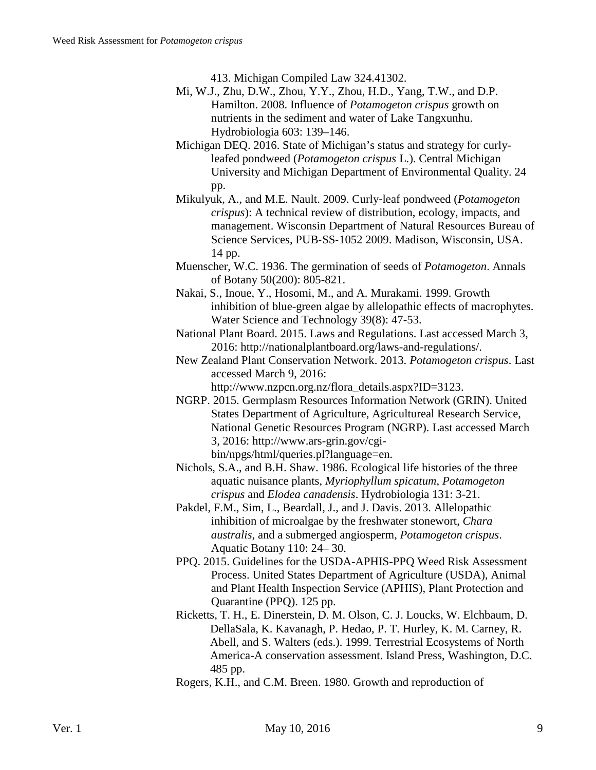413. Michigan Compiled Law 324.41302.

- Mi, W.J., Zhu, D.W., Zhou, Y.Y., Zhou, H.D., Yang, T.W., and D.P. Hamilton. 2008. Influence of *Potamogeton crispus* growth on nutrients in the sediment and water of Lake Tangxunhu. Hydrobiologia 603: 139–146.
- Michigan DEQ. 2016. State of Michigan's status and strategy for curlyleafed pondweed (*Potamogeton crispus* L.). Central Michigan University and Michigan Department of Environmental Quality. 24 pp.
- Mikulyuk, A., and M.E. Nault. 2009. Curly‐leaf pondweed (*Potamogeton crispus*): A technical review of distribution, ecology, impacts, and management. Wisconsin Department of Natural Resources Bureau of Science Services, PUB‐SS‐1052 2009. Madison, Wisconsin, USA. 14 pp.
- Muenscher, W.C. 1936. The germination of seeds of *Potamogeton*. Annals of Botany 50(200): 805-821.
- Nakai, S., Inoue, Y., Hosomi, M., and A. Murakami. 1999. Growth inhibition of blue-green algae by allelopathic effects of macrophytes. Water Science and Technology 39(8): 47-53.
- National Plant Board. 2015. Laws and Regulations. Last accessed March 3, 2016: http://nationalplantboard.org/laws-and-regulations/.
- New Zealand Plant Conservation Network. 2013. *Potamogeton crispus*. Last accessed March 9, 2016:

http://www.nzpcn.org.nz/flora\_details.aspx?ID=3123.

- NGRP. 2015. Germplasm Resources Information Network (GRIN). United States Department of Agriculture, Agricultureal Research Service, National Genetic Resources Program (NGRP). Last accessed March 3, 2016: http://www.ars-grin.gov/cgibin/npgs/html/queries.pl?language=en.
- Nichols, S.A., and B.H. Shaw. 1986. Ecological life histories of the three aquatic nuisance plants, *Myriophyllum spicatum*, *Potamogeton crispus* and *Elodea canadensis*. Hydrobiologia 131: 3-21.
- Pakdel, F.M., Sim, L., Beardall, J., and J. Davis. 2013. Allelopathic inhibition of microalgae by the freshwater stonewort, *Chara australis*, and a submerged angiosperm, *Potamogeton crispus*. Aquatic Botany 110: 24– 30.
- PPQ. 2015. Guidelines for the USDA-APHIS-PPQ Weed Risk Assessment Process. United States Department of Agriculture (USDA), Animal and Plant Health Inspection Service (APHIS), Plant Protection and Quarantine (PPQ). 125 pp.
- Ricketts, T. H., E. Dinerstein, D. M. Olson, C. J. Loucks, W. Elchbaum, D. DellaSala, K. Kavanagh, P. Hedao, P. T. Hurley, K. M. Carney, R. Abell, and S. Walters (eds.). 1999. Terrestrial Ecosystems of North America-A conservation assessment. Island Press, Washington, D.C. 485 pp.
- Rogers, K.H., and C.M. Breen. 1980. Growth and reproduction of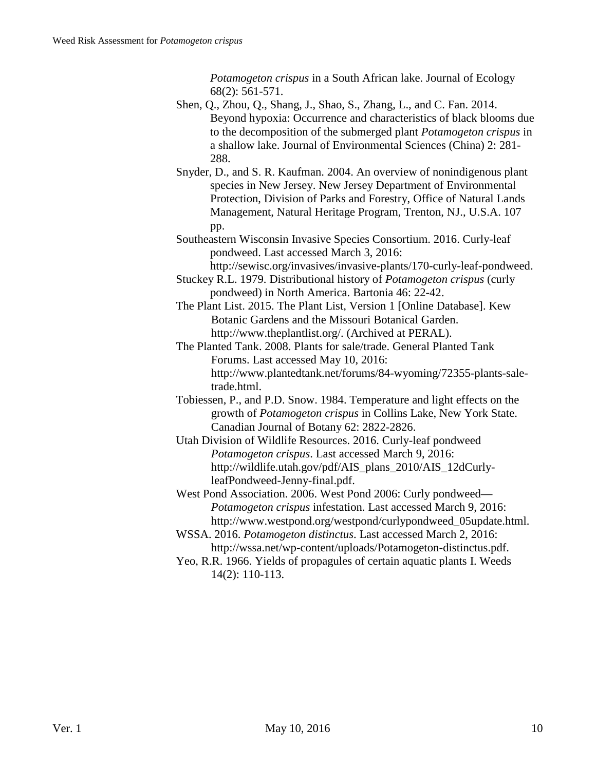*Potamogeton crispus* in a South African lake. Journal of Ecology 68(2): 561-571.

- Shen, Q., Zhou, Q., Shang, J., Shao, S., Zhang, L., and C. Fan. 2014. Beyond hypoxia: Occurrence and characteristics of black blooms due to the decomposition of the submerged plant *Potamogeton crispus* in a shallow lake. Journal of Environmental Sciences (China) 2: 281- 288.
- Snyder, D., and S. R. Kaufman. 2004. An overview of nonindigenous plant species in New Jersey. New Jersey Department of Environmental Protection, Division of Parks and Forestry, Office of Natural Lands Management, Natural Heritage Program, Trenton, NJ., U.S.A. 107 pp.
- Southeastern Wisconsin Invasive Species Consortium. 2016. Curly-leaf pondweed. Last accessed March 3, 2016: http://sewisc.org/invasives/invasive-plants/170-curly-leaf-pondweed.
- Stuckey R.L. 1979. Distributional history of *Potamogeton crispus* (curly pondweed) in North America. Bartonia 46: 22-42.
- The Plant List. 2015. The Plant List, Version 1 [Online Database]. Kew Botanic Gardens and the Missouri Botanical Garden. http://www.theplantlist.org/. (Archived at PERAL).
- The Planted Tank. 2008. Plants for sale/trade. General Planted Tank Forums. Last accessed May 10, 2016: http://www.plantedtank.net/forums/84-wyoming/72355-plants-saletrade.html.
- Tobiessen, P., and P.D. Snow. 1984. Temperature and light effects on the growth of *Potamogeton crispus* in Collins Lake, New York State. Canadian Journal of Botany 62: 2822-2826.
- Utah Division of Wildlife Resources. 2016. Curly-leaf pondweed *Potamogeton crispus*. Last accessed March 9, 2016: http://wildlife.utah.gov/pdf/AIS\_plans\_2010/AIS\_12dCurlyleafPondweed-Jenny-final.pdf.
- West Pond Association. 2006. West Pond 2006: Curly pondweed— *Potamogeton crispus* infestation. Last accessed March 9, 2016: http://www.westpond.org/westpond/curlypondweed\_05update.html.
- WSSA. 2016. *Potamogeton distinctus*. Last accessed March 2, 2016: http://wssa.net/wp-content/uploads/Potamogeton-distinctus.pdf.
- Yeo, R.R. 1966. Yields of propagules of certain aquatic plants I. Weeds 14(2): 110-113.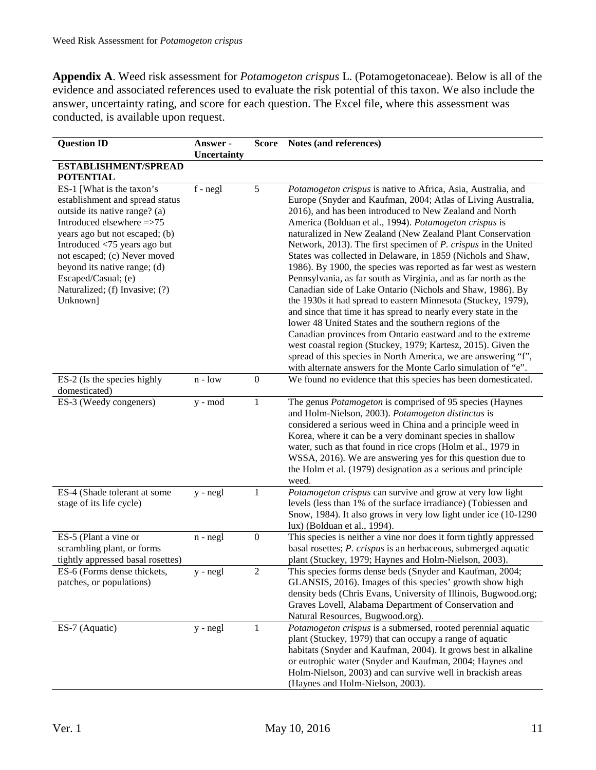**Appendix A**. Weed risk assessment for *Potamogeton crispus* L. (Potamogetonaceae). Below is all of the evidence and associated references used to evaluate the risk potential of this taxon. We also include the answer, uncertainty rating, and score for each question. The Excel file, where this assessment was conducted, is available upon request.

| <b>Question ID</b>                                                                                                                                                                                                                                                                                                                | Answer -    | <b>Score</b>     | Notes (and references)                                                                                                                                                                                                                                                                                                                                                                                                                                                                                                                                                                                                                                                                                                                                                                                                                                                                                                                                                                                                                                                                                                        |
|-----------------------------------------------------------------------------------------------------------------------------------------------------------------------------------------------------------------------------------------------------------------------------------------------------------------------------------|-------------|------------------|-------------------------------------------------------------------------------------------------------------------------------------------------------------------------------------------------------------------------------------------------------------------------------------------------------------------------------------------------------------------------------------------------------------------------------------------------------------------------------------------------------------------------------------------------------------------------------------------------------------------------------------------------------------------------------------------------------------------------------------------------------------------------------------------------------------------------------------------------------------------------------------------------------------------------------------------------------------------------------------------------------------------------------------------------------------------------------------------------------------------------------|
|                                                                                                                                                                                                                                                                                                                                   | Uncertainty |                  |                                                                                                                                                                                                                                                                                                                                                                                                                                                                                                                                                                                                                                                                                                                                                                                                                                                                                                                                                                                                                                                                                                                               |
| ESTABLISHMENT/SPREAD<br><b>POTENTIAL</b>                                                                                                                                                                                                                                                                                          |             |                  |                                                                                                                                                                                                                                                                                                                                                                                                                                                                                                                                                                                                                                                                                                                                                                                                                                                                                                                                                                                                                                                                                                                               |
| ES-1 [What is the taxon's<br>establishment and spread status<br>outside its native range? (a)<br>Introduced elsewhere =>75<br>years ago but not escaped; (b)<br>Introduced <75 years ago but<br>not escaped; (c) Never moved<br>beyond its native range; (d)<br>Escaped/Casual; (e)<br>Naturalized; (f) Invasive; (?)<br>Unknown] | $f - negl$  | 5                | Potamogeton crispus is native to Africa, Asia, Australia, and<br>Europe (Snyder and Kaufman, 2004; Atlas of Living Australia,<br>2016), and has been introduced to New Zealand and North<br>America (Bolduan et al., 1994). Potamogeton crispus is<br>naturalized in New Zealand (New Zealand Plant Conservation<br>Network, 2013). The first specimen of <i>P. crispus</i> in the United<br>States was collected in Delaware, in 1859 (Nichols and Shaw,<br>1986). By 1900, the species was reported as far west as western<br>Pennsylvania, as far south as Virginia, and as far north as the<br>Canadian side of Lake Ontario (Nichols and Shaw, 1986). By<br>the 1930s it had spread to eastern Minnesota (Stuckey, 1979),<br>and since that time it has spread to nearly every state in the<br>lower 48 United States and the southern regions of the<br>Canadian provinces from Ontario eastward and to the extreme<br>west coastal region (Stuckey, 1979; Kartesz, 2015). Given the<br>spread of this species in North America, we are answering "f",<br>with alternate answers for the Monte Carlo simulation of "e". |
| ES-2 (Is the species highly<br>domesticated)                                                                                                                                                                                                                                                                                      | $n - low$   | $\boldsymbol{0}$ | We found no evidence that this species has been domesticated.                                                                                                                                                                                                                                                                                                                                                                                                                                                                                                                                                                                                                                                                                                                                                                                                                                                                                                                                                                                                                                                                 |
| ES-3 (Weedy congeners)                                                                                                                                                                                                                                                                                                            | y - mod     | 1                | The genus <i>Potamogeton</i> is comprised of 95 species (Haynes<br>and Holm-Nielson, 2003). Potamogeton distinctus is<br>considered a serious weed in China and a principle weed in<br>Korea, where it can be a very dominant species in shallow<br>water, such as that found in rice crops (Holm et al., 1979 in<br>WSSA, 2016). We are answering yes for this question due to<br>the Holm et al. (1979) designation as a serious and principle<br>weed.                                                                                                                                                                                                                                                                                                                                                                                                                                                                                                                                                                                                                                                                     |
| ES-4 (Shade tolerant at some<br>stage of its life cycle)                                                                                                                                                                                                                                                                          | $y - negl$  | 1                | Potamogeton crispus can survive and grow at very low light<br>levels (less than 1% of the surface irradiance) (Tobiessen and<br>Snow, 1984). It also grows in very low light under ice (10-1290<br>lux) (Bolduan et al., 1994).                                                                                                                                                                                                                                                                                                                                                                                                                                                                                                                                                                                                                                                                                                                                                                                                                                                                                               |
| ES-5 (Plant a vine or<br>scrambling plant, or forms<br>tightly appressed basal rosettes)                                                                                                                                                                                                                                          | $n - negl$  | $\boldsymbol{0}$ | This species is neither a vine nor does it form tightly appressed<br>basal rosettes; P. crispus is an herbaceous, submerged aquatic<br>plant (Stuckey, 1979; Haynes and Holm-Nielson, 2003).                                                                                                                                                                                                                                                                                                                                                                                                                                                                                                                                                                                                                                                                                                                                                                                                                                                                                                                                  |
| ES-6 (Forms dense thickets,<br>patches, or populations)                                                                                                                                                                                                                                                                           | y - negl    | $\overline{2}$   | This species forms dense beds (Snyder and Kaufman, 2004;<br>GLANSIS, 2016). Images of this species' growth show high<br>density beds (Chris Evans, University of Illinois, Bugwood.org;<br>Graves Lovell, Alabama Department of Conservation and<br>Natural Resources, Bugwood.org).                                                                                                                                                                                                                                                                                                                                                                                                                                                                                                                                                                                                                                                                                                                                                                                                                                          |
| ES-7 (Aquatic)                                                                                                                                                                                                                                                                                                                    | $y - negl$  | 1                | Potamogeton crispus is a submersed, rooted perennial aquatic<br>plant (Stuckey, 1979) that can occupy a range of aquatic<br>habitats (Snyder and Kaufman, 2004). It grows best in alkaline<br>or eutrophic water (Snyder and Kaufman, 2004; Haynes and<br>Holm-Nielson, 2003) and can survive well in brackish areas<br>(Haynes and Holm-Nielson, 2003).                                                                                                                                                                                                                                                                                                                                                                                                                                                                                                                                                                                                                                                                                                                                                                      |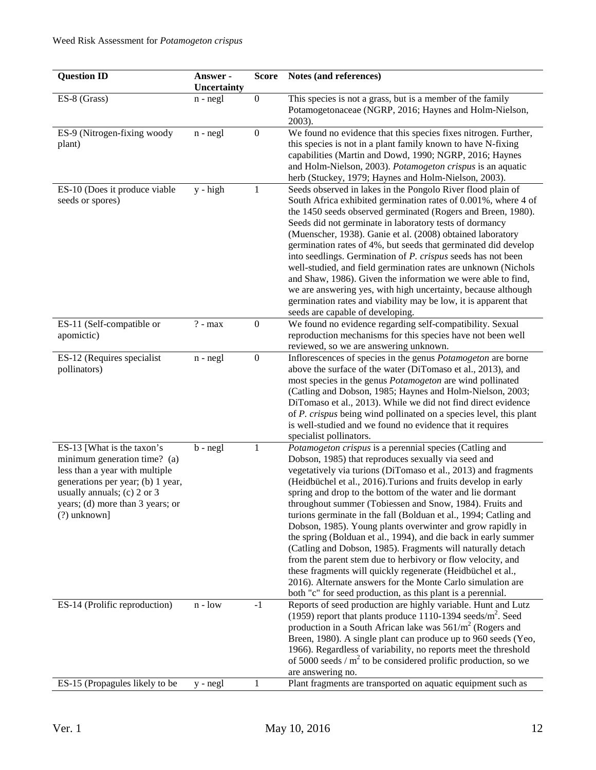| <b>Question ID</b>                                                                                                                                                                                                     | Answer -<br>Uncertainty | <b>Score</b>     | Notes (and references)                                                                                                                                                                                                                                                                                                                                                                                                                                                                                                                                                                                                                                                                                                                                                                                                                                                                                       |
|------------------------------------------------------------------------------------------------------------------------------------------------------------------------------------------------------------------------|-------------------------|------------------|--------------------------------------------------------------------------------------------------------------------------------------------------------------------------------------------------------------------------------------------------------------------------------------------------------------------------------------------------------------------------------------------------------------------------------------------------------------------------------------------------------------------------------------------------------------------------------------------------------------------------------------------------------------------------------------------------------------------------------------------------------------------------------------------------------------------------------------------------------------------------------------------------------------|
| ES-8 (Grass)                                                                                                                                                                                                           | $n - negl$              | $\boldsymbol{0}$ | This species is not a grass, but is a member of the family<br>Potamogetonaceae (NGRP, 2016; Haynes and Holm-Nielson,<br>2003).                                                                                                                                                                                                                                                                                                                                                                                                                                                                                                                                                                                                                                                                                                                                                                               |
| ES-9 (Nitrogen-fixing woody<br>plant)                                                                                                                                                                                  | $n - negl$              | $\boldsymbol{0}$ | We found no evidence that this species fixes nitrogen. Further,<br>this species is not in a plant family known to have N-fixing<br>capabilities (Martin and Dowd, 1990; NGRP, 2016; Haynes<br>and Holm-Nielson, 2003). Potamogeton crispus is an aquatic<br>herb (Stuckey, 1979; Haynes and Holm-Nielson, 2003).                                                                                                                                                                                                                                                                                                                                                                                                                                                                                                                                                                                             |
| ES-10 (Does it produce viable<br>seeds or spores)                                                                                                                                                                      | $y - high$              | 1                | Seeds observed in lakes in the Pongolo River flood plain of<br>South Africa exhibited germination rates of 0.001%, where 4 of<br>the 1450 seeds observed germinated (Rogers and Breen, 1980).<br>Seeds did not germinate in laboratory tests of dormancy<br>(Muenscher, 1938). Ganie et al. (2008) obtained laboratory<br>germination rates of 4%, but seeds that germinated did develop<br>into seedlings. Germination of P. crispus seeds has not been<br>well-studied, and field germination rates are unknown (Nichols<br>and Shaw, 1986). Given the information we were able to find,<br>we are answering yes, with high uncertainty, because although<br>germination rates and viability may be low, it is apparent that<br>seeds are capable of developing.                                                                                                                                           |
| ES-11 (Self-compatible or<br>apomictic)                                                                                                                                                                                | $\overline{?}$ - max    | $\boldsymbol{0}$ | We found no evidence regarding self-compatibility. Sexual<br>reproduction mechanisms for this species have not been well<br>reviewed, so we are answering unknown.                                                                                                                                                                                                                                                                                                                                                                                                                                                                                                                                                                                                                                                                                                                                           |
| ES-12 (Requires specialist<br>pollinators)                                                                                                                                                                             | $n - negl$              | $\boldsymbol{0}$ | Inflorescences of species in the genus Potamogeton are borne<br>above the surface of the water (DiTomaso et al., 2013), and<br>most species in the genus <i>Potamogeton</i> are wind pollinated<br>(Catling and Dobson, 1985; Haynes and Holm-Nielson, 2003;<br>DiTomaso et al., 2013). While we did not find direct evidence<br>of <i>P. crispus</i> being wind pollinated on a species level, this plant<br>is well-studied and we found no evidence that it requires<br>specialist pollinators.                                                                                                                                                                                                                                                                                                                                                                                                           |
| ES-13 [What is the taxon's<br>minimum generation time? (a)<br>less than a year with multiple<br>generations per year; (b) 1 year,<br>usually annuals; (c) 2 or 3<br>years; (d) more than 3 years; or<br>$(?)$ unknown] | $b - negl$              | 1                | Potamogeton crispus is a perennial species (Catling and<br>Dobson, 1985) that reproduces sexually via seed and<br>vegetatively via turions (DiTomaso et al., 2013) and fragments<br>(Heidbüchel et al., 2016). Turions and fruits develop in early<br>spring and drop to the bottom of the water and lie dormant<br>throughout summer (Tobiessen and Snow, 1984). Fruits and<br>turions germinate in the fall (Bolduan et al., 1994; Catling and<br>Dobson, 1985). Young plants overwinter and grow rapidly in<br>the spring (Bolduan et al., 1994), and die back in early summer<br>(Catling and Dobson, 1985). Fragments will naturally detach<br>from the parent stem due to herbivory or flow velocity, and<br>these fragments will quickly regenerate (Heidbüchel et al.,<br>2016). Alternate answers for the Monte Carlo simulation are<br>both "c" for seed production, as this plant is a perennial. |
| ES-14 (Prolific reproduction)                                                                                                                                                                                          | $n - low$               | $-1$             | Reports of seed production are highly variable. Hunt and Lutz<br>(1959) report that plants produce 1110-1394 seeds/m <sup>2</sup> . Seed<br>production in a South African lake was $561/m^2$ (Rogers and<br>Breen, 1980). A single plant can produce up to 960 seeds (Yeo,<br>1966). Regardless of variability, no reports meet the threshold<br>of 5000 seeds / $m2$ to be considered prolific production, so we<br>are answering no.                                                                                                                                                                                                                                                                                                                                                                                                                                                                       |
| ES-15 (Propagules likely to be                                                                                                                                                                                         | $y - negl$              | 1                | Plant fragments are transported on aquatic equipment such as                                                                                                                                                                                                                                                                                                                                                                                                                                                                                                                                                                                                                                                                                                                                                                                                                                                 |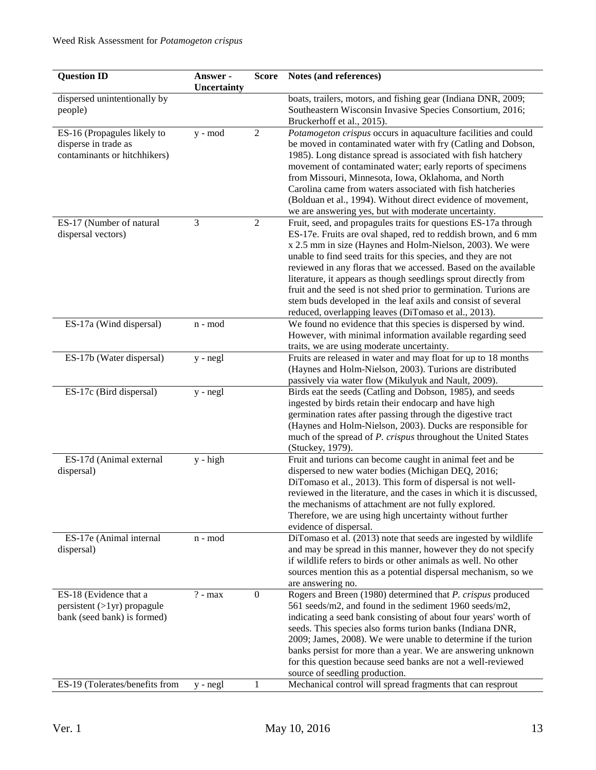| <b>Question ID</b>             | Answer -<br>Uncertainty | <b>Score</b>     | Notes (and references)                                                                                                           |
|--------------------------------|-------------------------|------------------|----------------------------------------------------------------------------------------------------------------------------------|
| dispersed unintentionally by   |                         |                  | boats, trailers, motors, and fishing gear (Indiana DNR, 2009;                                                                    |
| people)                        |                         |                  | Southeastern Wisconsin Invasive Species Consortium, 2016;                                                                        |
|                                |                         |                  | Bruckerhoff et al., 2015).                                                                                                       |
| ES-16 (Propagules likely to    | y - mod                 | $\overline{2}$   | Potamogeton crispus occurs in aquaculture facilities and could                                                                   |
| disperse in trade as           |                         |                  | be moved in contaminated water with fry (Catling and Dobson,                                                                     |
| contaminants or hitchhikers)   |                         |                  | 1985). Long distance spread is associated with fish hatchery                                                                     |
|                                |                         |                  | movement of contaminated water; early reports of specimens                                                                       |
|                                |                         |                  | from Missouri, Minnesota, Iowa, Oklahoma, and North<br>Carolina came from waters associated with fish hatcheries                 |
|                                |                         |                  | (Bolduan et al., 1994). Without direct evidence of movement,                                                                     |
|                                |                         |                  | we are answering yes, but with moderate uncertainty.                                                                             |
| ES-17 (Number of natural       | $\mathfrak{Z}$          | $\overline{2}$   | Fruit, seed, and propagules traits for questions ES-17a through                                                                  |
| dispersal vectors)             |                         |                  | ES-17e. Fruits are oval shaped, red to reddish brown, and 6 mm                                                                   |
|                                |                         |                  | x 2.5 mm in size (Haynes and Holm-Nielson, 2003). We were                                                                        |
|                                |                         |                  | unable to find seed traits for this species, and they are not                                                                    |
|                                |                         |                  | reviewed in any floras that we accessed. Based on the available                                                                  |
|                                |                         |                  | literature, it appears as though seedlings sprout directly from                                                                  |
|                                |                         |                  | fruit and the seed is not shed prior to germination. Turions are                                                                 |
|                                |                         |                  | stem buds developed in the leaf axils and consist of several                                                                     |
|                                |                         |                  | reduced, overlapping leaves (DiTomaso et al., 2013).                                                                             |
| ES-17a (Wind dispersal)        | n - mod                 |                  | We found no evidence that this species is dispersed by wind.                                                                     |
|                                |                         |                  | However, with minimal information available regarding seed                                                                       |
|                                |                         |                  | traits, we are using moderate uncertainty.                                                                                       |
| ES-17b (Water dispersal)       | y - negl                |                  | Fruits are released in water and may float for up to 18 months                                                                   |
|                                |                         |                  | (Haynes and Holm-Nielson, 2003). Turions are distributed                                                                         |
| ES-17c (Bird dispersal)        |                         |                  | passively via water flow (Mikulyuk and Nault, 2009).                                                                             |
|                                | $y - negl$              |                  | Birds eat the seeds (Catling and Dobson, 1985), and seeds<br>ingested by birds retain their endocarp and have high               |
|                                |                         |                  | germination rates after passing through the digestive tract                                                                      |
|                                |                         |                  | (Haynes and Holm-Nielson, 2003). Ducks are responsible for                                                                       |
|                                |                         |                  | much of the spread of P. crispus throughout the United States                                                                    |
|                                |                         |                  | (Stuckey, 1979).                                                                                                                 |
| ES-17d (Animal external        | $y - high$              |                  | Fruit and turions can become caught in animal feet and be                                                                        |
| dispersal)                     |                         |                  | dispersed to new water bodies (Michigan DEQ, 2016;                                                                               |
|                                |                         |                  | DiTomaso et al., 2013). This form of dispersal is not well-                                                                      |
|                                |                         |                  | reviewed in the literature, and the cases in which it is discussed,                                                              |
|                                |                         |                  | the mechanisms of attachment are not fully explored.                                                                             |
|                                |                         |                  | Therefore, we are using high uncertainty without further                                                                         |
|                                |                         |                  | evidence of dispersal.                                                                                                           |
| ES-17e (Animal internal        | n - mod                 |                  | DiTomaso et al. (2013) note that seeds are ingested by wildlife<br>and may be spread in this manner, however they do not specify |
| dispersal)                     |                         |                  | if wildlife refers to birds or other animals as well. No other                                                                   |
|                                |                         |                  | sources mention this as a potential dispersal mechanism, so we                                                                   |
|                                |                         |                  | are answering no.                                                                                                                |
| ES-18 (Evidence that a         | $? - max$               | $\boldsymbol{0}$ | Rogers and Breen (1980) determined that P. crispus produced                                                                      |
| $persistent (>1yr)$ propagule  |                         |                  | 561 seeds/m2, and found in the sediment 1960 seeds/m2,                                                                           |
| bank (seed bank) is formed)    |                         |                  | indicating a seed bank consisting of about four years' worth of                                                                  |
|                                |                         |                  | seeds. This species also forms turion banks (Indiana DNR,                                                                        |
|                                |                         |                  | 2009; James, 2008). We were unable to determine if the turion                                                                    |
|                                |                         |                  | banks persist for more than a year. We are answering unknown                                                                     |
|                                |                         |                  | for this question because seed banks are not a well-reviewed                                                                     |
|                                |                         |                  | source of seedling production.                                                                                                   |
| ES-19 (Tolerates/benefits from | $y - negl$              | 1                | Mechanical control will spread fragments that can resprout                                                                       |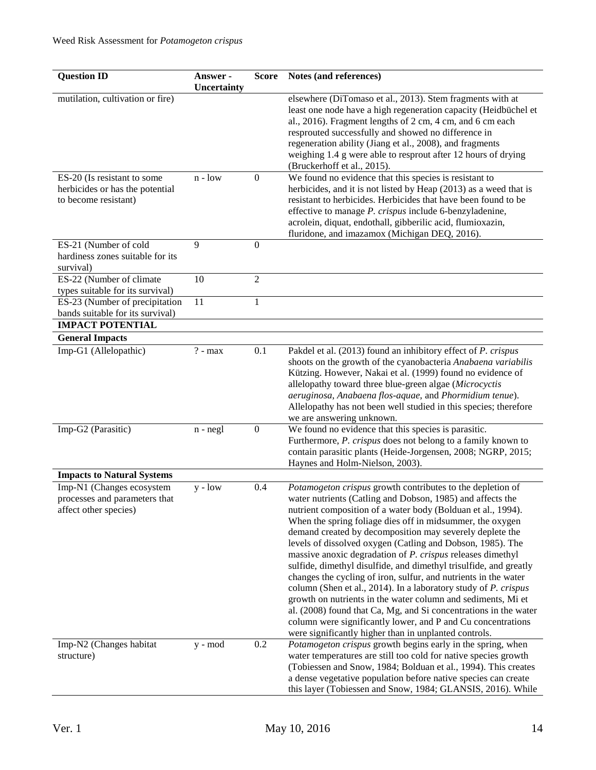| <b>Question ID</b>                                                                     | Answer -    | <b>Score</b>     | Notes (and references)                                                                                                                                                                                                                                                                                                                                                                                                                                                                                                                                                                                                                                                                                                                                                                                                                                                                                                       |
|----------------------------------------------------------------------------------------|-------------|------------------|------------------------------------------------------------------------------------------------------------------------------------------------------------------------------------------------------------------------------------------------------------------------------------------------------------------------------------------------------------------------------------------------------------------------------------------------------------------------------------------------------------------------------------------------------------------------------------------------------------------------------------------------------------------------------------------------------------------------------------------------------------------------------------------------------------------------------------------------------------------------------------------------------------------------------|
|                                                                                        | Uncertainty |                  | elsewhere (DiTomaso et al., 2013). Stem fragments with at                                                                                                                                                                                                                                                                                                                                                                                                                                                                                                                                                                                                                                                                                                                                                                                                                                                                    |
| mutilation, cultivation or fire)                                                       |             |                  | least one node have a high regeneration capacity (Heidbüchel et<br>al., 2016). Fragment lengths of 2 cm, 4 cm, and 6 cm each<br>resprouted successfully and showed no difference in<br>regeneration ability (Jiang et al., 2008), and fragments<br>weighing 1.4 g were able to resprout after 12 hours of drying<br>(Bruckerhoff et al., 2015).                                                                                                                                                                                                                                                                                                                                                                                                                                                                                                                                                                              |
| ES-20 (Is resistant to some<br>herbicides or has the potential<br>to become resistant) | $n - low$   | $\boldsymbol{0}$ | We found no evidence that this species is resistant to<br>herbicides, and it is not listed by Heap (2013) as a weed that is<br>resistant to herbicides. Herbicides that have been found to be<br>effective to manage P. crispus include 6-benzyladenine,<br>acrolein, diquat, endothall, gibberilic acid, flumioxazin,<br>fluridone, and imazamox (Michigan DEQ, 2016).                                                                                                                                                                                                                                                                                                                                                                                                                                                                                                                                                      |
| ES-21 (Number of cold                                                                  | 9           | $\boldsymbol{0}$ |                                                                                                                                                                                                                                                                                                                                                                                                                                                                                                                                                                                                                                                                                                                                                                                                                                                                                                                              |
| hardiness zones suitable for its<br>survival)                                          |             |                  |                                                                                                                                                                                                                                                                                                                                                                                                                                                                                                                                                                                                                                                                                                                                                                                                                                                                                                                              |
| ES-22 (Number of climate                                                               | 10          | $\overline{2}$   |                                                                                                                                                                                                                                                                                                                                                                                                                                                                                                                                                                                                                                                                                                                                                                                                                                                                                                                              |
| types suitable for its survival)                                                       |             |                  |                                                                                                                                                                                                                                                                                                                                                                                                                                                                                                                                                                                                                                                                                                                                                                                                                                                                                                                              |
| ES-23 (Number of precipitation                                                         | 11          | $\mathbf{1}$     |                                                                                                                                                                                                                                                                                                                                                                                                                                                                                                                                                                                                                                                                                                                                                                                                                                                                                                                              |
| bands suitable for its survival)<br><b>IMPACT POTENTIAL</b>                            |             |                  |                                                                                                                                                                                                                                                                                                                                                                                                                                                                                                                                                                                                                                                                                                                                                                                                                                                                                                                              |
|                                                                                        |             |                  |                                                                                                                                                                                                                                                                                                                                                                                                                                                                                                                                                                                                                                                                                                                                                                                                                                                                                                                              |
| <b>General Impacts</b><br>Imp-G1 (Allelopathic)                                        |             |                  | Pakdel et al. (2013) found an inhibitory effect of <i>P. crispus</i>                                                                                                                                                                                                                                                                                                                                                                                                                                                                                                                                                                                                                                                                                                                                                                                                                                                         |
|                                                                                        | $? - max$   | 0.1              | shoots on the growth of the cyanobacteria Anabaena variabilis<br>Kützing. However, Nakai et al. (1999) found no evidence of<br>allelopathy toward three blue-green algae (Microcyctis<br>aeruginosa, Anabaena flos-aquae, and Phormidium tenue).<br>Allelopathy has not been well studied in this species; therefore<br>we are answering unknown.                                                                                                                                                                                                                                                                                                                                                                                                                                                                                                                                                                            |
| Imp-G2 (Parasitic)                                                                     | $n - negl$  | $\boldsymbol{0}$ | We found no evidence that this species is parasitic.<br>Furthermore, P. crispus does not belong to a family known to<br>contain parasitic plants (Heide-Jorgensen, 2008; NGRP, 2015;<br>Haynes and Holm-Nielson, 2003).                                                                                                                                                                                                                                                                                                                                                                                                                                                                                                                                                                                                                                                                                                      |
| <b>Impacts to Natural Systems</b>                                                      |             |                  |                                                                                                                                                                                                                                                                                                                                                                                                                                                                                                                                                                                                                                                                                                                                                                                                                                                                                                                              |
| Imp-N1 (Changes ecosystem<br>processes and parameters that<br>affect other species)    | $y - low$   | 0.4              | Potamogeton crispus growth contributes to the depletion of<br>water nutrients (Catling and Dobson, 1985) and affects the<br>nutrient composition of a water body (Bolduan et al., 1994).<br>When the spring foliage dies off in midsummer, the oxygen<br>demand created by decomposition may severely deplete the<br>levels of dissolved oxygen (Catling and Dobson, 1985). The<br>massive anoxic degradation of <i>P. crispus</i> releases dimethyl<br>sulfide, dimethyl disulfide, and dimethyl trisulfide, and greatly<br>changes the cycling of iron, sulfur, and nutrients in the water<br>column (Shen et al., 2014). In a laboratory study of P. crispus<br>growth on nutrients in the water column and sediments, Mi et<br>al. (2008) found that Ca, Mg, and Si concentrations in the water<br>column were significantly lower, and P and Cu concentrations<br>were significantly higher than in unplanted controls. |
| Imp-N2 (Changes habitat<br>structure)                                                  | y - mod     | 0.2              | Potamogeton crispus growth begins early in the spring, when<br>water temperatures are still too cold for native species growth<br>(Tobiessen and Snow, 1984; Bolduan et al., 1994). This creates<br>a dense vegetative population before native species can create<br>this layer (Tobiessen and Snow, 1984; GLANSIS, 2016). While                                                                                                                                                                                                                                                                                                                                                                                                                                                                                                                                                                                            |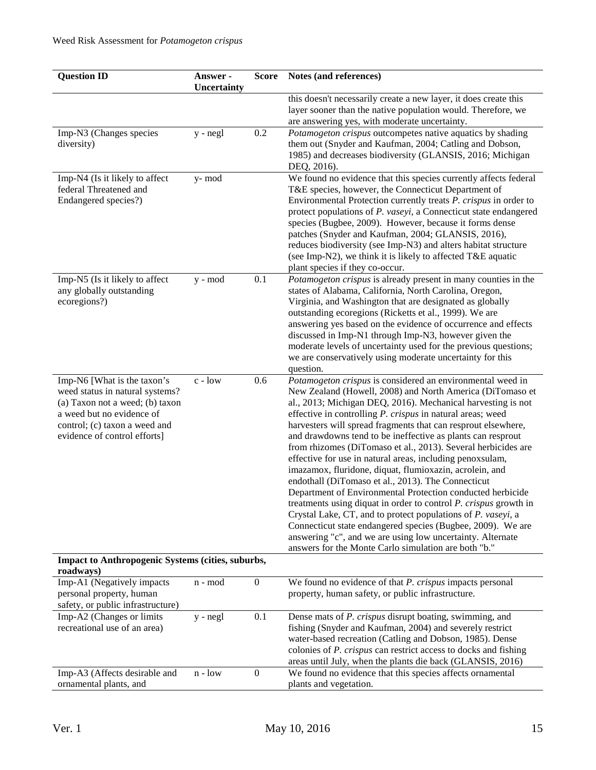| <b>Question ID</b>                                                               | Answer -<br>Uncertainty | <b>Score</b>     | Notes (and references)                                                                                                                                                                                                                                                                                                                                                                                                                                                                                                                               |
|----------------------------------------------------------------------------------|-------------------------|------------------|------------------------------------------------------------------------------------------------------------------------------------------------------------------------------------------------------------------------------------------------------------------------------------------------------------------------------------------------------------------------------------------------------------------------------------------------------------------------------------------------------------------------------------------------------|
|                                                                                  |                         |                  | this doesn't necessarily create a new layer, it does create this                                                                                                                                                                                                                                                                                                                                                                                                                                                                                     |
|                                                                                  |                         |                  | layer sooner than the native population would. Therefore, we<br>are answering yes, with moderate uncertainty.                                                                                                                                                                                                                                                                                                                                                                                                                                        |
| Imp-N3 (Changes species                                                          | y - negl                | 0.2              | Potamogeton crispus outcompetes native aquatics by shading                                                                                                                                                                                                                                                                                                                                                                                                                                                                                           |
| diversity)                                                                       |                         |                  | them out (Snyder and Kaufman, 2004; Catling and Dobson,<br>1985) and decreases biodiversity (GLANSIS, 2016; Michigan                                                                                                                                                                                                                                                                                                                                                                                                                                 |
|                                                                                  |                         |                  | DEQ, 2016).                                                                                                                                                                                                                                                                                                                                                                                                                                                                                                                                          |
| Imp-N4 (Is it likely to affect<br>federal Threatened and<br>Endangered species?) | y-mod                   |                  | We found no evidence that this species currently affects federal<br>T&E species, however, the Connecticut Department of<br>Environmental Protection currently treats P. crispus in order to<br>protect populations of P. vaseyi, a Connecticut state endangered<br>species (Bugbee, 2009). However, because it forms dense<br>patches (Snyder and Kaufman, 2004; GLANSIS, 2016),<br>reduces biodiversity (see Imp-N3) and alters habitat structure<br>(see Imp-N2), we think it is likely to affected T&E aquatic<br>plant species if they co-occur. |
| Imp-N5 (Is it likely to affect<br>any globally outstanding                       | y - mod                 | 0.1              | Potamogeton crispus is already present in many counties in the<br>states of Alabama, California, North Carolina, Oregon,                                                                                                                                                                                                                                                                                                                                                                                                                             |
| ecoregions?)                                                                     |                         |                  | Virginia, and Washington that are designated as globally                                                                                                                                                                                                                                                                                                                                                                                                                                                                                             |
|                                                                                  |                         |                  | outstanding ecoregions (Ricketts et al., 1999). We are                                                                                                                                                                                                                                                                                                                                                                                                                                                                                               |
|                                                                                  |                         |                  | answering yes based on the evidence of occurrence and effects<br>discussed in Imp-N1 through Imp-N3, however given the                                                                                                                                                                                                                                                                                                                                                                                                                               |
|                                                                                  |                         |                  | moderate levels of uncertainty used for the previous questions;                                                                                                                                                                                                                                                                                                                                                                                                                                                                                      |
|                                                                                  |                         |                  | we are conservatively using moderate uncertainty for this                                                                                                                                                                                                                                                                                                                                                                                                                                                                                            |
| Imp-N6 [What is the taxon's                                                      | c - low                 | 0.6              | question.<br>Potamogeton crispus is considered an environmental weed in                                                                                                                                                                                                                                                                                                                                                                                                                                                                              |
| weed status in natural systems?                                                  |                         |                  | New Zealand (Howell, 2008) and North America (DiTomaso et                                                                                                                                                                                                                                                                                                                                                                                                                                                                                            |
| (a) Taxon not a weed; (b) taxon                                                  |                         |                  | al., 2013; Michigan DEQ, 2016). Mechanical harvesting is not                                                                                                                                                                                                                                                                                                                                                                                                                                                                                         |
| a weed but no evidence of<br>control; (c) taxon a weed and                       |                         |                  | effective in controlling P. crispus in natural areas; weed<br>harvesters will spread fragments that can resprout elsewhere,                                                                                                                                                                                                                                                                                                                                                                                                                          |
| evidence of control efforts]                                                     |                         |                  | and drawdowns tend to be ineffective as plants can resprout                                                                                                                                                                                                                                                                                                                                                                                                                                                                                          |
|                                                                                  |                         |                  | from rhizomes (DiTomaso et al., 2013). Several herbicides are                                                                                                                                                                                                                                                                                                                                                                                                                                                                                        |
|                                                                                  |                         |                  | effective for use in natural areas, including penoxsulam,<br>imazamox, fluridone, diquat, flumioxazin, acrolein, and                                                                                                                                                                                                                                                                                                                                                                                                                                 |
|                                                                                  |                         |                  | endothall (DiTomaso et al., 2013). The Connecticut                                                                                                                                                                                                                                                                                                                                                                                                                                                                                                   |
|                                                                                  |                         |                  | Department of Environmental Protection conducted herbicide                                                                                                                                                                                                                                                                                                                                                                                                                                                                                           |
|                                                                                  |                         |                  | treatments using diquat in order to control P. crispus growth in                                                                                                                                                                                                                                                                                                                                                                                                                                                                                     |
|                                                                                  |                         |                  | Crystal Lake, CT, and to protect populations of P. vaseyi, a<br>Connecticut state endangered species (Bugbee, 2009). We are                                                                                                                                                                                                                                                                                                                                                                                                                          |
|                                                                                  |                         |                  | answering "c", and we are using low uncertainty. Alternate                                                                                                                                                                                                                                                                                                                                                                                                                                                                                           |
|                                                                                  |                         |                  | answers for the Monte Carlo simulation are both "b."                                                                                                                                                                                                                                                                                                                                                                                                                                                                                                 |
| Impact to Anthropogenic Systems (cities, suburbs,<br>roadways)                   |                         |                  |                                                                                                                                                                                                                                                                                                                                                                                                                                                                                                                                                      |
| Imp-A1 (Negatively impacts                                                       | n - mod                 | $\boldsymbol{0}$ | We found no evidence of that P. crispus impacts personal                                                                                                                                                                                                                                                                                                                                                                                                                                                                                             |
| personal property, human                                                         |                         |                  | property, human safety, or public infrastructure.                                                                                                                                                                                                                                                                                                                                                                                                                                                                                                    |
| safety, or public infrastructure)<br>Imp-A2 (Changes or limits                   | y - negl                | 0.1              | Dense mats of P. crispus disrupt boating, swimming, and                                                                                                                                                                                                                                                                                                                                                                                                                                                                                              |
| recreational use of an area)                                                     |                         |                  | fishing (Snyder and Kaufman, 2004) and severely restrict                                                                                                                                                                                                                                                                                                                                                                                                                                                                                             |
|                                                                                  |                         |                  | water-based recreation (Catling and Dobson, 1985). Dense                                                                                                                                                                                                                                                                                                                                                                                                                                                                                             |
|                                                                                  |                         |                  | colonies of <i>P. crispus</i> can restrict access to docks and fishing<br>areas until July, when the plants die back (GLANSIS, 2016)                                                                                                                                                                                                                                                                                                                                                                                                                 |
| Imp-A3 (Affects desirable and                                                    | $n - low$               | $\boldsymbol{0}$ | We found no evidence that this species affects ornamental                                                                                                                                                                                                                                                                                                                                                                                                                                                                                            |
| ornamental plants, and                                                           |                         |                  | plants and vegetation.                                                                                                                                                                                                                                                                                                                                                                                                                                                                                                                               |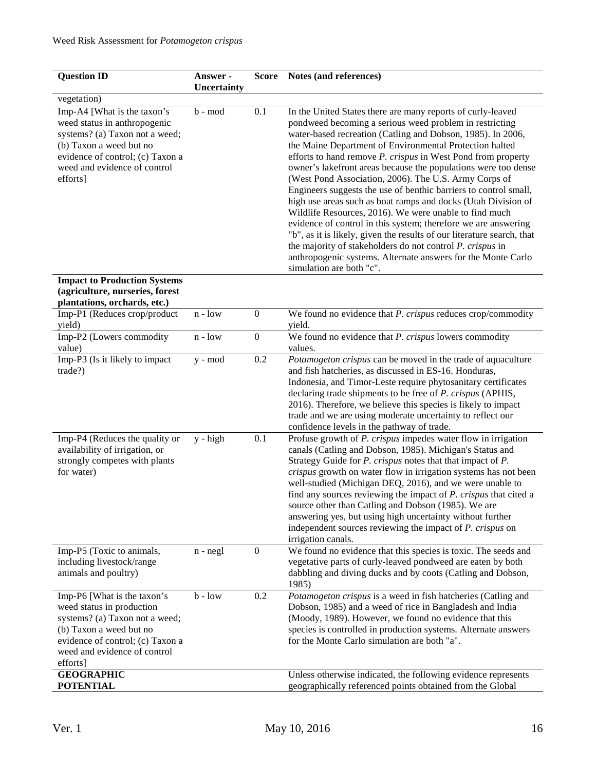| <b>Question ID</b>                                                                                                                                                                                       | Answer -    | <b>Score</b>     | Notes (and references)                                                                                                                                                                                                                                                                                                                                                                                                                                                                                                                                                                                                                                                                                                                                                                 |
|----------------------------------------------------------------------------------------------------------------------------------------------------------------------------------------------------------|-------------|------------------|----------------------------------------------------------------------------------------------------------------------------------------------------------------------------------------------------------------------------------------------------------------------------------------------------------------------------------------------------------------------------------------------------------------------------------------------------------------------------------------------------------------------------------------------------------------------------------------------------------------------------------------------------------------------------------------------------------------------------------------------------------------------------------------|
|                                                                                                                                                                                                          | Uncertainty |                  |                                                                                                                                                                                                                                                                                                                                                                                                                                                                                                                                                                                                                                                                                                                                                                                        |
| vegetation)                                                                                                                                                                                              |             |                  |                                                                                                                                                                                                                                                                                                                                                                                                                                                                                                                                                                                                                                                                                                                                                                                        |
| Imp-A4 [What is the taxon's<br>weed status in anthropogenic<br>systems? (a) Taxon not a weed;<br>(b) Taxon a weed but no<br>evidence of control; (c) Taxon a<br>weed and evidence of control<br>efforts] | b - mod     | 0.1              | In the United States there are many reports of curly-leaved<br>pondweed becoming a serious weed problem in restricting<br>water-based recreation (Catling and Dobson, 1985). In 2006,<br>the Maine Department of Environmental Protection halted<br>efforts to hand remove P. crispus in West Pond from property<br>owner's lakefront areas because the populations were too dense<br>(West Pond Association, 2006). The U.S. Army Corps of<br>Engineers suggests the use of benthic barriers to control small,<br>high use areas such as boat ramps and docks (Utah Division of<br>Wildlife Resources, 2016). We were unable to find much<br>evidence of control in this system; therefore we are answering<br>"b", as it is likely, given the results of our literature search, that |
|                                                                                                                                                                                                          |             |                  | the majority of stakeholders do not control P. crispus in<br>anthropogenic systems. Alternate answers for the Monte Carlo<br>simulation are both "c".                                                                                                                                                                                                                                                                                                                                                                                                                                                                                                                                                                                                                                  |
| <b>Impact to Production Systems</b>                                                                                                                                                                      |             |                  |                                                                                                                                                                                                                                                                                                                                                                                                                                                                                                                                                                                                                                                                                                                                                                                        |
| (agriculture, nurseries, forest                                                                                                                                                                          |             |                  |                                                                                                                                                                                                                                                                                                                                                                                                                                                                                                                                                                                                                                                                                                                                                                                        |
| plantations, orchards, etc.)                                                                                                                                                                             |             |                  |                                                                                                                                                                                                                                                                                                                                                                                                                                                                                                                                                                                                                                                                                                                                                                                        |
| Imp-P1 (Reduces crop/product<br>yield)                                                                                                                                                                   | $n - low$   | $\boldsymbol{0}$ | We found no evidence that P. crispus reduces crop/commodity<br>yield.                                                                                                                                                                                                                                                                                                                                                                                                                                                                                                                                                                                                                                                                                                                  |
| Imp-P2 (Lowers commodity<br>value)                                                                                                                                                                       | $n - low$   | $\boldsymbol{0}$ | We found no evidence that P. crispus lowers commodity<br>values.                                                                                                                                                                                                                                                                                                                                                                                                                                                                                                                                                                                                                                                                                                                       |
| Imp-P3 (Is it likely to impact<br>trade?)                                                                                                                                                                | y - mod     | 0.2              | Potamogeton crispus can be moved in the trade of aquaculture<br>and fish hatcheries, as discussed in ES-16. Honduras,<br>Indonesia, and Timor-Leste require phytosanitary certificates<br>declaring trade shipments to be free of P. crispus (APHIS,<br>2016). Therefore, we believe this species is likely to impact<br>trade and we are using moderate uncertainty to reflect our<br>confidence levels in the pathway of trade.                                                                                                                                                                                                                                                                                                                                                      |
| Imp-P4 (Reduces the quality or<br>availability of irrigation, or<br>strongly competes with plants<br>for water)                                                                                          | $y - high$  | 0.1              | Profuse growth of P. crispus impedes water flow in irrigation<br>canals (Catling and Dobson, 1985). Michigan's Status and<br>Strategy Guide for P. crispus notes that that impact of P.<br>crispus growth on water flow in irrigation systems has not been<br>well-studied (Michigan DEQ, 2016), and we were unable to<br>find any sources reviewing the impact of <i>P. crispus</i> that cited a<br>source other than Catling and Dobson (1985). We are<br>answering yes, but using high uncertainty without further<br>independent sources reviewing the impact of <i>P. crispus</i> on<br>irrigation canals.                                                                                                                                                                        |
| Imp-P5 (Toxic to animals,<br>including livestock/range<br>animals and poultry)                                                                                                                           | $n - negl$  | $\boldsymbol{0}$ | We found no evidence that this species is toxic. The seeds and<br>vegetative parts of curly-leaved pondweed are eaten by both<br>dabbling and diving ducks and by coots (Catling and Dobson,<br>1985)                                                                                                                                                                                                                                                                                                                                                                                                                                                                                                                                                                                  |
| Imp-P6 [What is the taxon's<br>weed status in production<br>systems? (a) Taxon not a weed;<br>(b) Taxon a weed but no<br>evidence of control; (c) Taxon a<br>weed and evidence of control<br>efforts]    | $b - low$   | 0.2              | Potamogeton crispus is a weed in fish hatcheries (Catling and<br>Dobson, 1985) and a weed of rice in Bangladesh and India<br>(Moody, 1989). However, we found no evidence that this<br>species is controlled in production systems. Alternate answers<br>for the Monte Carlo simulation are both "a".                                                                                                                                                                                                                                                                                                                                                                                                                                                                                  |
| <b>GEOGRAPHIC</b><br><b>POTENTIAL</b>                                                                                                                                                                    |             |                  | Unless otherwise indicated, the following evidence represents<br>geographically referenced points obtained from the Global                                                                                                                                                                                                                                                                                                                                                                                                                                                                                                                                                                                                                                                             |
|                                                                                                                                                                                                          |             |                  |                                                                                                                                                                                                                                                                                                                                                                                                                                                                                                                                                                                                                                                                                                                                                                                        |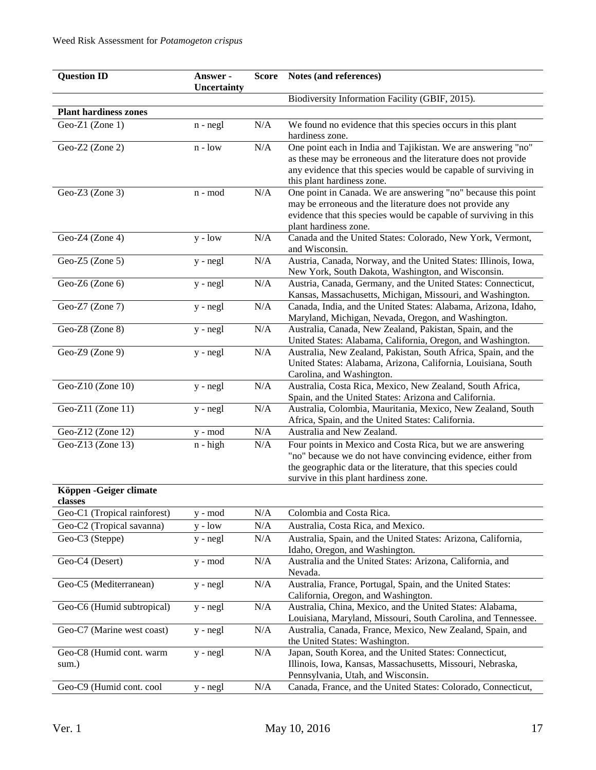| <b>Question ID</b>           | Answer -<br>Uncertainty       | <b>Score</b> | Notes (and references)                                                                                                         |
|------------------------------|-------------------------------|--------------|--------------------------------------------------------------------------------------------------------------------------------|
|                              |                               |              | Biodiversity Information Facility (GBIF, 2015).                                                                                |
| <b>Plant hardiness zones</b> |                               |              |                                                                                                                                |
| Geo-Z1 (Zone 1)              | $n - negl$                    | N/A          | We found no evidence that this species occurs in this plant                                                                    |
|                              |                               |              | hardiness zone.                                                                                                                |
| Geo-Z2 (Zone 2)              | $n - low$                     | N/A          | One point each in India and Tajikistan. We are answering "no"                                                                  |
|                              |                               |              | as these may be erroneous and the literature does not provide                                                                  |
|                              |                               |              | any evidence that this species would be capable of surviving in                                                                |
|                              |                               |              | this plant hardiness zone.                                                                                                     |
| Geo-Z3 (Zone 3)              | $\mathbf{n}$ - $\mathbf{mod}$ | N/A          | One point in Canada. We are answering "no" because this point                                                                  |
|                              |                               |              | may be erroneous and the literature does not provide any<br>evidence that this species would be capable of surviving in this   |
|                              |                               |              | plant hardiness zone.                                                                                                          |
| Geo-Z4 (Zone 4)              | $y - low$                     | N/A          | Canada and the United States: Colorado, New York, Vermont,                                                                     |
|                              |                               |              | and Wisconsin.                                                                                                                 |
| Geo-Z5 (Zone 5)              | y - negl                      | N/A          | Austria, Canada, Norway, and the United States: Illinois, Iowa,                                                                |
|                              |                               |              | New York, South Dakota, Washington, and Wisconsin.                                                                             |
| Geo-Z6 (Zone 6)              | y - negl                      | N/A          | Austria, Canada, Germany, and the United States: Connecticut,<br>Kansas, Massachusetts, Michigan, Missouri, and Washington.    |
| Geo-Z7 (Zone 7)              | $\overline{y}$ - negl         | N/A          | Canada, India, and the United States: Alabama, Arizona, Idaho,                                                                 |
|                              |                               |              | Maryland, Michigan, Nevada, Oregon, and Washington.                                                                            |
| Geo-Z8 (Zone 8)              | y - negl                      | N/A          | Australia, Canada, New Zealand, Pakistan, Spain, and the                                                                       |
|                              |                               |              | United States: Alabama, California, Oregon, and Washington.                                                                    |
| Geo-Z9 (Zone 9)              | y - negl                      | N/A          | Australia, New Zealand, Pakistan, South Africa, Spain, and the                                                                 |
|                              |                               |              | United States: Alabama, Arizona, California, Louisiana, South                                                                  |
| Geo-Z10 (Zone 10)            | y - negl                      | N/A          | Carolina, and Washington.<br>Australia, Costa Rica, Mexico, New Zealand, South Africa,                                         |
|                              |                               |              | Spain, and the United States: Arizona and California.                                                                          |
| Geo-Z11 (Zone 11)            | y - negl                      | N/A          | Australia, Colombia, Mauritania, Mexico, New Zealand, South                                                                    |
|                              |                               |              | Africa, Spain, and the United States: California.                                                                              |
| Geo-Z12 (Zone 12)            | y - mod                       | N/A          | Australia and New Zealand.                                                                                                     |
| Geo-Z13 (Zone 13)            | $n - high$                    | N/A          | Four points in Mexico and Costa Rica, but we are answering                                                                     |
|                              |                               |              | "no" because we do not have convincing evidence, either from<br>the geographic data or the literature, that this species could |
|                              |                               |              | survive in this plant hardiness zone.                                                                                          |
| Köppen - Geiger climate      |                               |              |                                                                                                                                |
| classes                      |                               |              |                                                                                                                                |
| Geo-C1 (Tropical rainforest) | y - mod                       | N/A          | Colombia and Costa Rica.                                                                                                       |
| Geo-C2 (Tropical savanna)    | $y - low$                     | N/A          | Australia, Costa Rica, and Mexico.                                                                                             |
| Geo-C3 (Steppe)              | y - negl                      | N/A          | Australia, Spain, and the United States: Arizona, California,                                                                  |
|                              |                               |              | Idaho, Oregon, and Washington.                                                                                                 |
| Geo-C4 (Desert)              | y - mod                       | N/A          | Australia and the United States: Arizona, California, and                                                                      |
|                              |                               |              | Nevada.                                                                                                                        |
| Geo-C5 (Mediterranean)       | $y - negl$                    | N/A          | Australia, France, Portugal, Spain, and the United States:<br>California, Oregon, and Washington.                              |
| Geo-C6 (Humid subtropical)   | $y - negl$                    | N/A          | Australia, China, Mexico, and the United States: Alabama,                                                                      |
|                              |                               |              | Louisiana, Maryland, Missouri, South Carolina, and Tennessee.                                                                  |
| Geo-C7 (Marine west coast)   | $y - negl$                    | N/A          | Australia, Canada, France, Mexico, New Zealand, Spain, and                                                                     |
|                              |                               |              | the United States: Washington.                                                                                                 |
| Geo-C8 (Humid cont. warm     | $y - negl$                    | N/A          | Japan, South Korea, and the United States: Connecticut,                                                                        |
| sum.)                        |                               |              | Illinois, Iowa, Kansas, Massachusetts, Missouri, Nebraska,                                                                     |
|                              |                               |              | Pennsylvania, Utah, and Wisconsin.                                                                                             |
| Geo-C9 (Humid cont. cool     | y - negl                      | N/A          | Canada, France, and the United States: Colorado, Connecticut,                                                                  |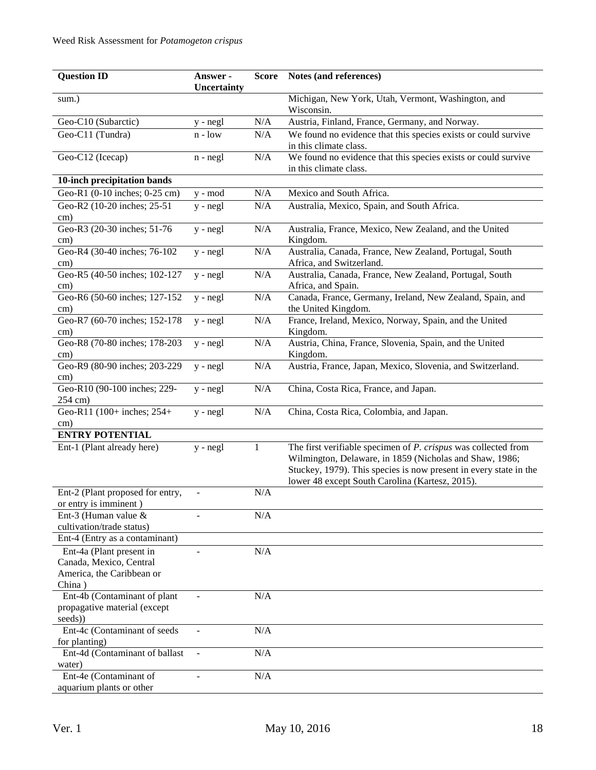| <b>Question ID</b>               | Answer -       | <b>Score</b> | Notes (and references)                                            |
|----------------------------------|----------------|--------------|-------------------------------------------------------------------|
|                                  | Uncertainty    |              |                                                                   |
| sum.)                            |                |              | Michigan, New York, Utah, Vermont, Washington, and                |
|                                  |                |              | Wisconsin.                                                        |
| Geo-C10 (Subarctic)              | y - negl       | N/A          | Austria, Finland, France, Germany, and Norway.                    |
| Geo-C11 (Tundra)                 | $n - low$      | N/A          | We found no evidence that this species exists or could survive    |
|                                  |                |              | in this climate class.                                            |
| Geo-C12 (Icecap)                 | $n - negl$     | $\rm N/A$    | We found no evidence that this species exists or could survive    |
|                                  |                |              | in this climate class.                                            |
| 10-inch precipitation bands      |                |              |                                                                   |
| Geo-R1 (0-10 inches; 0-25 cm)    | y - mod        | N/A          | Mexico and South Africa.                                          |
| Geo-R2 (10-20 inches; 25-51      | $y - negl$     | N/A          | Australia, Mexico, Spain, and South Africa.                       |
| $\text{cm}$ )                    |                |              |                                                                   |
| Geo-R3 (20-30 inches; 51-76      | $y - negl$     | N/A          | Australia, France, Mexico, New Zealand, and the United            |
| cm)                              |                |              | Kingdom.                                                          |
| Geo-R4 (30-40 inches; 76-102     | y - negl       | N/A          | Australia, Canada, France, New Zealand, Portugal, South           |
| cm)                              |                |              | Africa, and Switzerland.                                          |
| Geo-R5 (40-50 inches; 102-127    | $y - negl$     | N/A          | Australia, Canada, France, New Zealand, Portugal, South           |
| $\text{cm}$ )                    |                |              | Africa, and Spain.                                                |
| Geo-R6 (50-60 inches; 127-152    | y - negl       | N/A          | Canada, France, Germany, Ireland, New Zealand, Spain, and         |
| cm)                              |                |              | the United Kingdom.                                               |
| Geo-R7 (60-70 inches; 152-178    | y - negl       | N/A          | France, Ireland, Mexico, Norway, Spain, and the United            |
| cm)                              |                |              | Kingdom.                                                          |
| Geo-R8 (70-80 inches; 178-203    | y - negl       | N/A          | Austria, China, France, Slovenia, Spain, and the United           |
| $\text{cm}$ )                    |                |              | Kingdom.                                                          |
| Geo-R9 (80-90 inches; 203-229    | y - negl       | $\rm N/A$    | Austria, France, Japan, Mexico, Slovenia, and Switzerland.        |
| $\rm cm)$                        |                |              |                                                                   |
| Geo-R10 (90-100 inches; 229-     | y - negl       | N/A          | China, Costa Rica, France, and Japan.                             |
| 254 cm)                          |                |              |                                                                   |
| Geo-R11 (100+ inches; 254+       | $y - negl$     | N/A          | China, Costa Rica, Colombia, and Japan.                           |
| $\text{cm}$ )                    |                |              |                                                                   |
| <b>ENTRY POTENTIAL</b>           |                |              |                                                                   |
| Ent-1 (Plant already here)       | y - negl       | 1            | The first verifiable specimen of $P$ . crispus was collected from |
|                                  |                |              | Wilmington, Delaware, in 1859 (Nicholas and Shaw, 1986;           |
|                                  |                |              | Stuckey, 1979). This species is now present in every state in the |
|                                  |                |              | lower 48 except South Carolina (Kartesz, 2015).                   |
| Ent-2 (Plant proposed for entry, |                | $\rm N/A$    |                                                                   |
| or entry is imminent)            |                |              |                                                                   |
| Ent-3 (Human value $&$           |                | N/A          |                                                                   |
| cultivation/trade status)        |                |              |                                                                   |
| Ent-4 (Entry as a contaminant)   |                |              |                                                                   |
| Ent-4a (Plant present in         | $\blacksquare$ | N/A          |                                                                   |
| Canada, Mexico, Central          |                |              |                                                                   |
| America, the Caribbean or        |                |              |                                                                   |
| China)                           |                |              |                                                                   |
| Ent-4b (Contaminant of plant     | $\blacksquare$ | N/A          |                                                                   |
| propagative material (except     |                |              |                                                                   |
| seeds))                          |                |              |                                                                   |
| Ent-4c (Contaminant of seeds     |                | N/A          |                                                                   |
| for planting)                    |                |              |                                                                   |
| Ent-4d (Contaminant of ballast   |                | N/A          |                                                                   |
| water)                           |                |              |                                                                   |
| Ent-4e (Contaminant of           |                | N/A          |                                                                   |
| aquarium plants or other         |                |              |                                                                   |
|                                  |                |              |                                                                   |